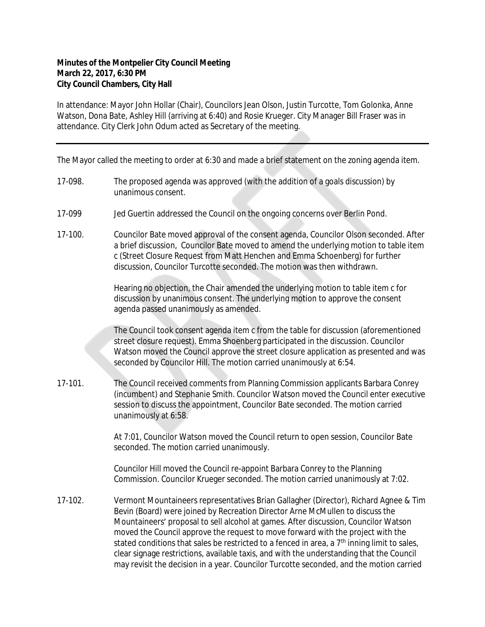## **Minutes of the Montpelier City Council Meeting March 22, 2017, 6:30 PM City Council Chambers, City Hall**

In attendance: Mayor John Hollar (Chair), Councilors Jean Olson, Justin Turcotte, Tom Golonka, Anne Watson, Dona Bate, Ashley Hill (arriving at 6:40) and Rosie Krueger. City Manager Bill Fraser was in attendance. City Clerk John Odum acted as Secretary of the meeting.

The Mayor called the meeting to order at 6:30 and made a brief statement on the zoning agenda item.

- 17-098. The proposed agenda was approved (with the addition of a goals discussion) by unanimous consent.
- 17-099 Jed Guertin addressed the Council on the ongoing concerns over Berlin Pond.
- 17-100. Councilor Bate moved approval of the consent agenda, Councilor Olson seconded. After a brief discussion, Councilor Bate moved to amend the underlying motion to table item c (Street Closure Request from Matt Henchen and Emma Schoenberg) for further discussion, Councilor Turcotte seconded. The motion was then withdrawn.

Hearing no objection, the Chair amended the underlying motion to table item c for discussion by unanimous consent. The underlying motion to approve the consent agenda passed unanimously as amended.

The Council took consent agenda item c from the table for discussion (aforementioned street closure request). Emma Shoenberg participated in the discussion. Councilor Watson moved the Council approve the street closure application as presented and was seconded by Councilor Hill. The motion carried unanimously at 6:54.

17-101. The Council received comments from Planning Commission applicants Barbara Conrey (incumbent) and Stephanie Smith. Councilor Watson moved the Council enter executive session to discuss the appointment, Councilor Bate seconded. The motion carried unanimously at 6:58.

> At 7:01, Councilor Watson moved the Council return to open session, Councilor Bate seconded. The motion carried unanimously.

Councilor Hill moved the Council re-appoint Barbara Conrey to the Planning Commission. Councilor Krueger seconded. The motion carried unanimously at 7:02.

17-102. Vermont Mountaineers representatives Brian Gallagher (Director), Richard Agnee & Tim Bevin (Board) were joined by Recreation Director Arne McMullen to discuss the Mountaineers' proposal to sell alcohol at games. After discussion, Councilor Watson moved the Council approve the request to move forward with the project with the stated conditions that sales be restricted to a fenced in area, a 7<sup>th</sup> inning limit to sales, clear signage restrictions, available taxis, and with the understanding that the Council may revisit the decision in a year. Councilor Turcotte seconded, and the motion carried